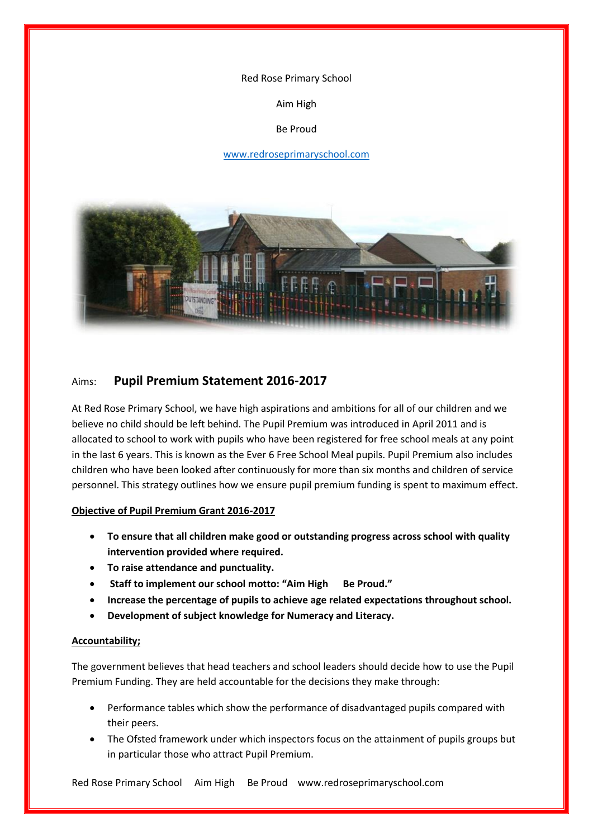#### Red Rose Primary School

Aim High

#### Be Proud

#### [www.redroseprimaryschool.com](http://www.redroseprimaryschool.com/)



## Aims: **Pupil Premium Statement 2016-2017**

At Red Rose Primary School, we have high aspirations and ambitions for all of our children and we believe no child should be left behind. The Pupil Premium was introduced in April 2011 and is allocated to school to work with pupils who have been registered for free school meals at any point in the last 6 years. This is known as the Ever 6 Free School Meal pupils. Pupil Premium also includes children who have been looked after continuously for more than six months and children of service personnel. This strategy outlines how we ensure pupil premium funding is spent to maximum effect.

#### **Objective of Pupil Premium Grant 2016-2017**

- **To ensure that all children make good or outstanding progress across school with quality intervention provided where required.**
- **To raise attendance and punctuality.**
- **Staff to implement our school motto: "Aim High Be Proud."**
- **Increase the percentage of pupils to achieve age related expectations throughout school.**
- **Development of subject knowledge for Numeracy and Literacy.**

#### **Accountability;**

The government believes that head teachers and school leaders should decide how to use the Pupil Premium Funding. They are held accountable for the decisions they make through:

- Performance tables which show the performance of disadvantaged pupils compared with their peers.
- The Ofsted framework under which inspectors focus on the attainment of pupils groups but in particular those who attract Pupil Premium.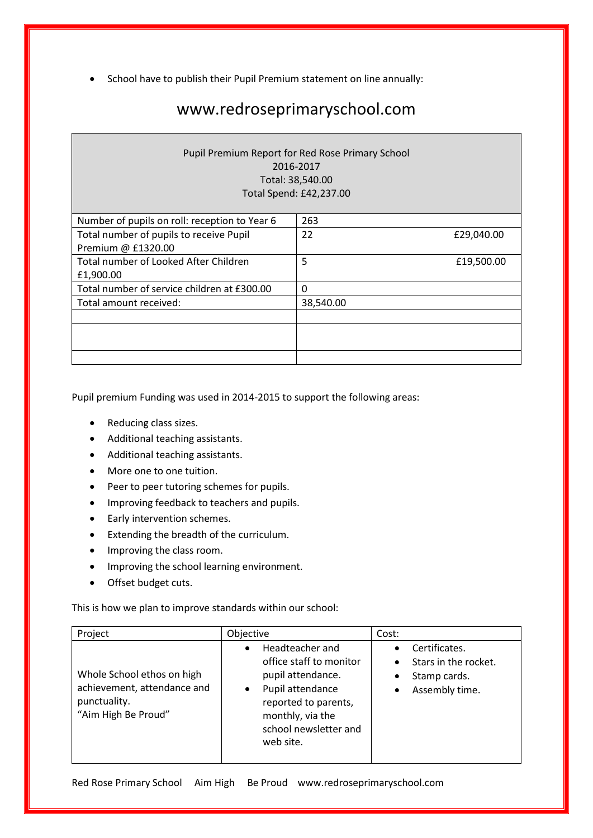• School have to publish their Pupil Premium statement on line annually:

# www.redroseprimaryschool.com

### Pupil Premium Report for Red Rose Primary School 2016-2017 Total: 38,540.00 Total Spend: £42,237.00

| 263       |            |
|-----------|------------|
| 22        | £29,040.00 |
|           |            |
| 5         | £19,500.00 |
|           |            |
| 0         |            |
| 38,540.00 |            |
|           |            |
|           |            |
|           |            |
|           |            |
|           |            |

Pupil premium Funding was used in 2014-2015 to support the following areas:

- Reducing class sizes.
- Additional teaching assistants.
- Additional teaching assistants.
- More one to one tuition.
- Peer to peer tutoring schemes for pupils.
- Improving feedback to teachers and pupils.
- Early intervention schemes.
- Extending the breadth of the curriculum.
- Improving the class room.
- Improving the school learning environment.
- Offset budget cuts.

This is how we plan to improve standards within our school:

| Project                                                                                          | Objective                                                                                                                                                                                       | Cost:                                                                                                                       |
|--------------------------------------------------------------------------------------------------|-------------------------------------------------------------------------------------------------------------------------------------------------------------------------------------------------|-----------------------------------------------------------------------------------------------------------------------------|
| Whole School ethos on high<br>achievement, attendance and<br>punctuality.<br>"Aim High Be Proud" | Headteacher and<br>$\bullet$<br>office staff to monitor<br>pupil attendance.<br>Pupil attendance<br>$\bullet$<br>reported to parents,<br>monthly, via the<br>school newsletter and<br>web site. | Certificates.<br>$\bullet$<br>Stars in the rocket.<br>$\bullet$<br>Stamp cards.<br>$\bullet$<br>Assembly time.<br>$\bullet$ |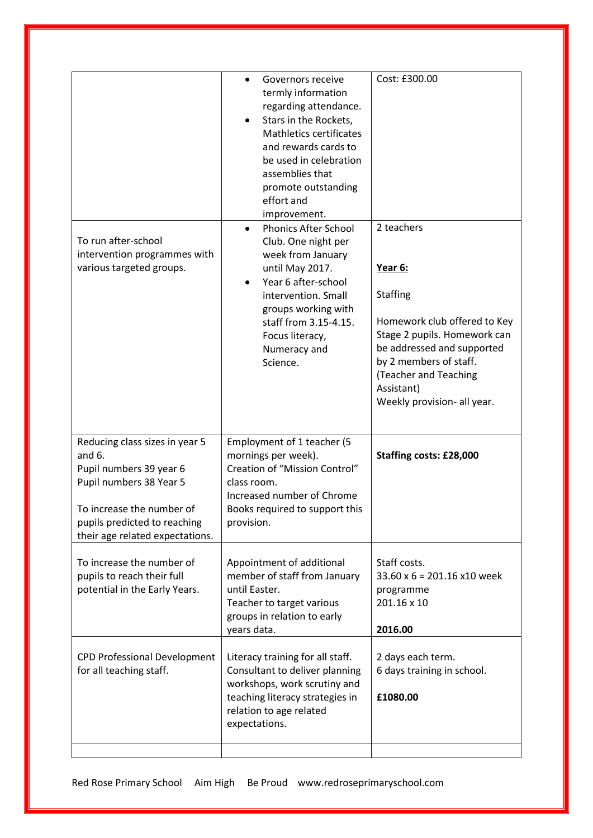| To run after-school<br>intervention programmes with<br>various targeted groups.                                                                                                                  | Governors receive<br>termly information<br>regarding attendance.<br>Stars in the Rockets,<br>Mathletics certificates<br>and rewards cards to<br>be used in celebration<br>assemblies that<br>promote outstanding<br>effort and<br>improvement.<br><b>Phonics After School</b><br>$\bullet$<br>Club. One night per<br>week from January<br>until May 2017.<br>Year 6 after-school<br>intervention. Small<br>groups working with<br>staff from 3.15-4.15.<br>Focus literacy,<br>Numeracy and<br>Science. | Cost: £300.00<br>2 teachers<br>Year 6:<br><b>Staffing</b><br>Homework club offered to Key<br>Stage 2 pupils. Homework can<br>be addressed and supported<br>by 2 members of staff.<br>(Teacher and Teaching<br>Assistant)<br>Weekly provision- all year. |
|--------------------------------------------------------------------------------------------------------------------------------------------------------------------------------------------------|--------------------------------------------------------------------------------------------------------------------------------------------------------------------------------------------------------------------------------------------------------------------------------------------------------------------------------------------------------------------------------------------------------------------------------------------------------------------------------------------------------|---------------------------------------------------------------------------------------------------------------------------------------------------------------------------------------------------------------------------------------------------------|
| Reducing class sizes in year 5<br>and $6.$<br>Pupil numbers 39 year 6<br>Pupil numbers 38 Year 5<br>To increase the number of<br>pupils predicted to reaching<br>their age related expectations. | Employment of 1 teacher (5<br>mornings per week).<br>Creation of "Mission Control"<br>class room.<br>Increased number of Chrome<br>Books required to support this<br>provision.                                                                                                                                                                                                                                                                                                                        | Staffing costs: £28,000                                                                                                                                                                                                                                 |
| To increase the number of<br>pupils to reach their full<br>potential in the Early Years.                                                                                                         | Appointment of additional<br>member of staff from January<br>until Easter.<br>Teacher to target various<br>groups in relation to early<br>years data.                                                                                                                                                                                                                                                                                                                                                  | Staff costs.<br>$33.60 \times 6 = 201.16 \times 10$ week<br>programme<br>201.16 x 10<br>2016.00                                                                                                                                                         |
| <b>CPD Professional Development</b><br>for all teaching staff.                                                                                                                                   | Literacy training for all staff.<br>Consultant to deliver planning<br>workshops, work scrutiny and<br>teaching literacy strategies in<br>relation to age related<br>expectations.                                                                                                                                                                                                                                                                                                                      | 2 days each term.<br>6 days training in school.<br>£1080.00                                                                                                                                                                                             |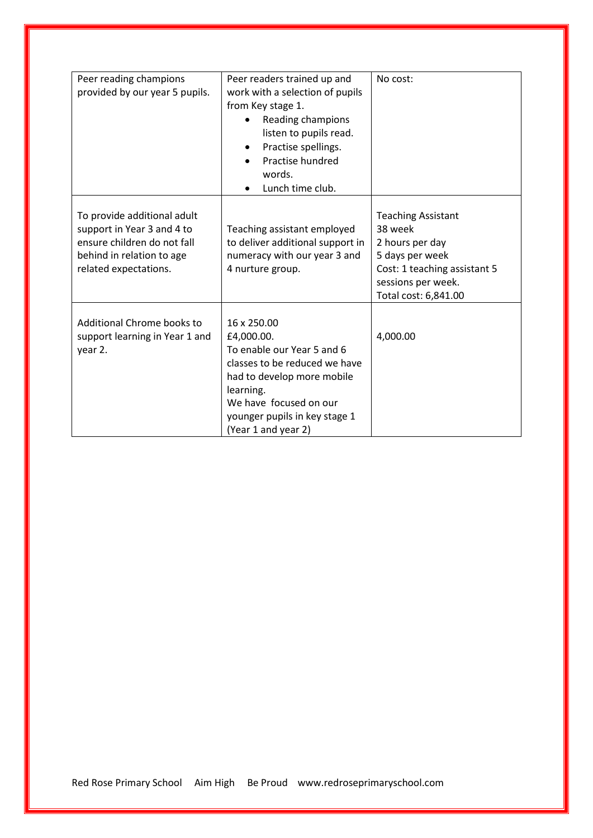| Peer reading champions<br>provided by our year 5 pupils.                                                                                       | Peer readers trained up and<br>work with a selection of pupils<br>from Key stage 1.<br>Reading champions<br>listen to pupils read.<br>Practise spellings.<br>Practise hundred<br>words.<br>Lunch time club.           | No cost:                                                                                                                                                 |
|------------------------------------------------------------------------------------------------------------------------------------------------|-----------------------------------------------------------------------------------------------------------------------------------------------------------------------------------------------------------------------|----------------------------------------------------------------------------------------------------------------------------------------------------------|
| To provide additional adult<br>support in Year 3 and 4 to<br>ensure children do not fall<br>behind in relation to age<br>related expectations. | Teaching assistant employed<br>to deliver additional support in<br>numeracy with our year 3 and<br>4 nurture group.                                                                                                   | <b>Teaching Assistant</b><br>38 week<br>2 hours per day<br>5 days per week<br>Cost: 1 teaching assistant 5<br>sessions per week.<br>Total cost: 6,841.00 |
| Additional Chrome books to<br>support learning in Year 1 and<br>year 2.                                                                        | 16 x 250.00<br>£4,000.00.<br>To enable our Year 5 and 6<br>classes to be reduced we have<br>had to develop more mobile<br>learning.<br>We have focused on our<br>younger pupils in key stage 1<br>(Year 1 and year 2) | 4,000.00                                                                                                                                                 |